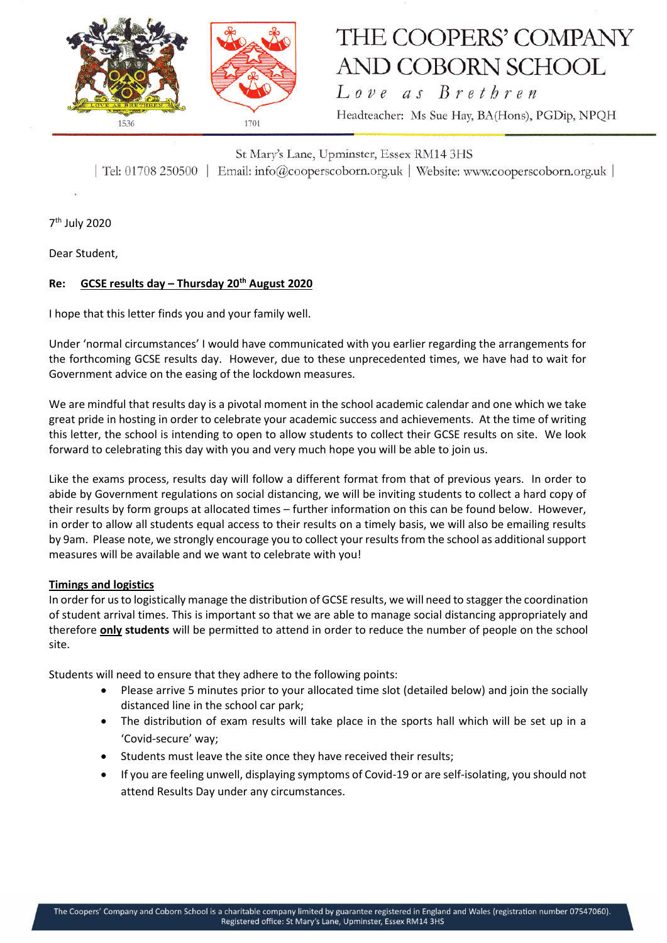

# THE COOPERS' COMPANY AND COBORN SCHOOL

Love as Brethren Headteacher: Ms Sue Hay, BA(Hons), PGDip, NPQH

St Mary's Lane, Upminster, Essex RM14 3HS | Tel: 01708 250500 | Email: info@cooperscoborn.org.uk | Website: www.cooperscoborn.org.uk |

7<sup>th</sup> July 2020

Dear Student,

# **Re: GCSE results day – Thursday 20th August 2020**

I hope that this letter finds you and your family well.

Under 'normal circumstances' I would have communicated with you earlier regarding the arrangements for the forthcoming GCSE results day. However, due to these unprecedented times, we have had to wait for Government advice on the easing of the lockdown measures.

We are mindful that results day is a pivotal moment in the school academic calendar and one which we take great pride in hosting in order to celebrate your academic success and achievements. At the time of writing this letter, the school is intending to open to allow students to collect their GCSE results on site. We look forward to celebrating this day with you and very much hope you will be able to join us.

Like the exams process, results day will follow a different format from that of previous years. In order to abide by Government regulations on social distancing, we will be inviting students to collect a hard copy of their results by form groups at allocated times – further information on this can be found below. However, in order to allow all students equal access to their results on a timely basis, we will also be emailing results by 9am. Please note, we strongly encourage you to collect your results from the school as additional support measures will be available and we want to celebrate with you!

### **Timings and logistics**

In order for us to logistically manage the distribution of GCSE results, we will need to stagger the coordination of student arrival times. This is important so that we are able to manage social distancing appropriately and therefore **only students** will be permitted to attend in order to reduce the number of people on the school site.

Students will need to ensure that they adhere to the following points:

- Please arrive 5 minutes prior to your allocated time slot (detailed below) and join the socially distanced line in the school car park;
- The distribution of exam results will take place in the sports hall which will be set up in a 'Covid-secure' way;
- Students must leave the site once they have received their results;
- If you are feeling unwell, displaying symptoms of Covid-19 or are self-isolating, you should not attend Results Day under any circumstances.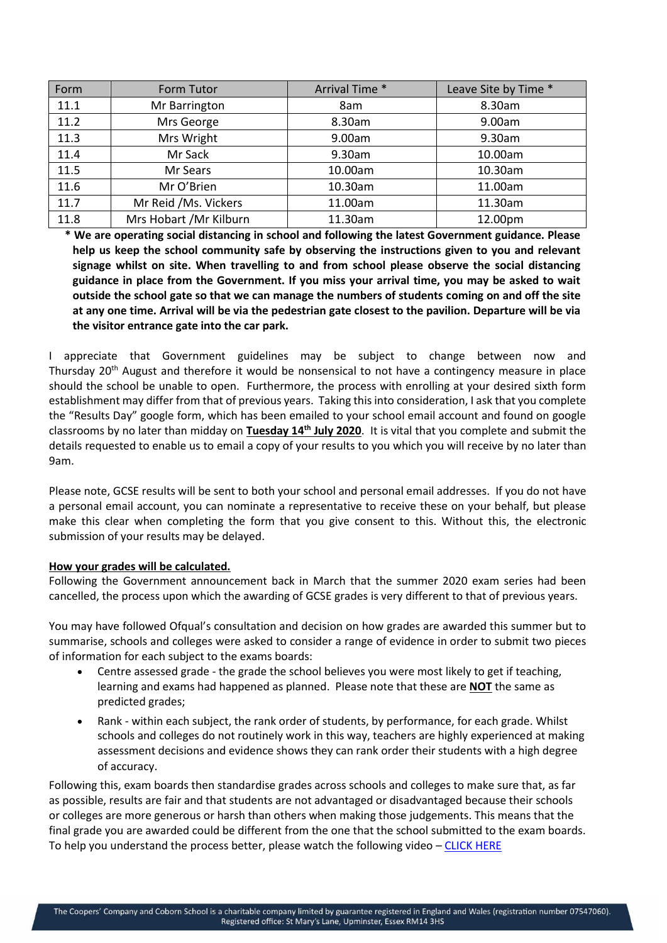| Form | Form Tutor              | Arrival Time * | Leave Site by Time * |
|------|-------------------------|----------------|----------------------|
| 11.1 | Mr Barrington           | 8am            | 8.30am               |
| 11.2 | Mrs George              | 8.30am         | 9.00am               |
| 11.3 | Mrs Wright              | 9.00am         | 9.30am               |
| 11.4 | Mr Sack                 | 9.30am         | 10.00am              |
| 11.5 | Mr Sears                | 10.00am        | 10.30am              |
| 11.6 | Mr O'Brien              | 10.30am        | 11.00am              |
| 11.7 | Mr Reid /Ms. Vickers    | 11.00am        | 11.30am              |
| 11.8 | Mrs Hobart / Mr Kilburn | 11.30am        | 12.00pm              |

**\* We are operating social distancing in school and following the latest Government guidance. Please help us keep the school community safe by observing the instructions given to you and relevant signage whilst on site. When travelling to and from school please observe the social distancing guidance in place from the Government. If you miss your arrival time, you may be asked to wait outside the school gate so that we can manage the numbers of students coming on and off the site at any one time. Arrival will be via the pedestrian gate closest to the pavilion. Departure will be via the visitor entrance gate into the car park.**

I appreciate that Government guidelines may be subject to change between now and Thursday 20<sup>th</sup> August and therefore it would be nonsensical to not have a contingency measure in place should the school be unable to open. Furthermore, the process with enrolling at your desired sixth form establishment may differ from that of previous years. Taking this into consideration, I ask that you complete the "Results Day" google form, which has been emailed to your school email account and found on google classrooms by no later than midday on **Tuesday 14th July 2020**. It is vital that you complete and submit the details requested to enable us to email a copy of your results to you which you will receive by no later than 9am.

Please note, GCSE results will be sent to both your school and personal email addresses. If you do not have a personal email account, you can nominate a representative to receive these on your behalf, but please make this clear when completing the form that you give consent to this. Without this, the electronic submission of your results may be delayed.

### **How your grades will be calculated.**

Following the Government announcement back in March that the summer 2020 exam series had been cancelled, the process upon which the awarding of GCSE grades is very different to that of previous years.

You may have followed Ofqual's consultation and decision on how grades are awarded this summer but to summarise, schools and colleges were asked to consider a range of evidence in order to submit two pieces of information for each subject to the exams boards:

- Centre assessed grade the grade the school believes you were most likely to get if teaching, learning and exams had happened as planned. Please note that these are **NOT** the same as predicted grades;
- Rank within each subject, the rank order of students, by performance, for each grade. Whilst schools and colleges do not routinely work in this way, teachers are highly experienced at making assessment decisions and evidence shows they can rank order their students with a high degree of accuracy.

Following this, exam boards then standardise grades across schools and colleges to make sure that, as far as possible, results are fair and that students are not advantaged or disadvantaged because their schools or colleges are more generous or harsh than others when making those judgements. This means that the final grade you are awarded could be different from the one that the school submitted to the exam boards. To help you understand the process better, please watch the following video – [CLICK HERE](https://www.youtube.com/watch?v=VXuDOrtJY1Q&feature=youtu.be)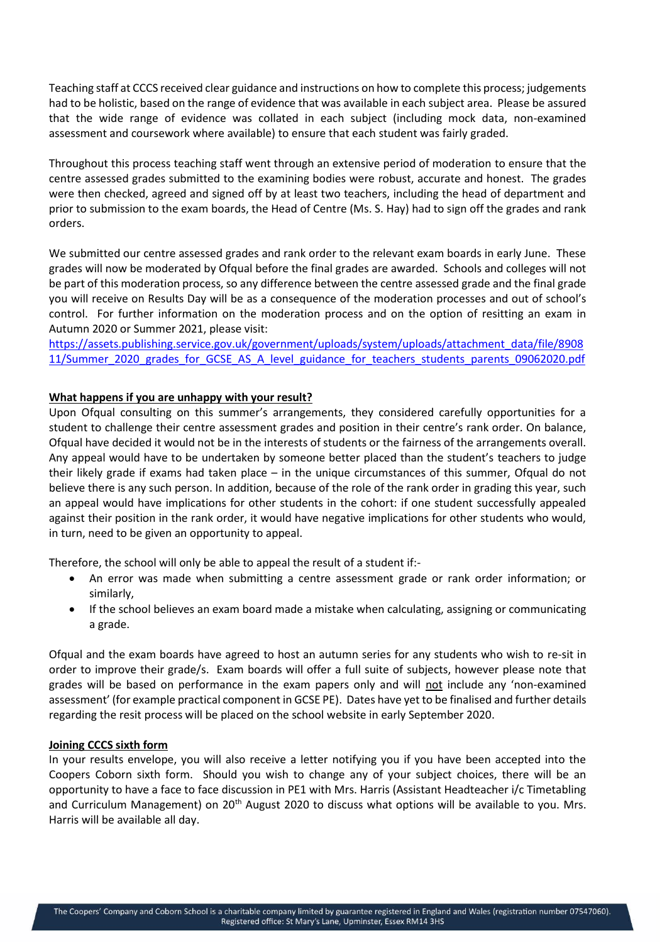Teaching staff at CCCS received clear guidance and instructions on how to complete this process; judgements had to be holistic, based on the range of evidence that was available in each subject area. Please be assured that the wide range of evidence was collated in each subject (including mock data, non-examined assessment and coursework where available) to ensure that each student was fairly graded.

Throughout this process teaching staff went through an extensive period of moderation to ensure that the centre assessed grades submitted to the examining bodies were robust, accurate and honest. The grades were then checked, agreed and signed off by at least two teachers, including the head of department and prior to submission to the exam boards, the Head of Centre (Ms. S. Hay) had to sign off the grades and rank orders.

We submitted our centre assessed grades and rank order to the relevant exam boards in early June. These grades will now be moderated by Ofqual before the final grades are awarded. Schools and colleges will not be part of this moderation process, so any difference between the centre assessed grade and the final grade you will receive on Results Day will be as a consequence of the moderation processes and out of school's control. For further information on the moderation process and on the option of resitting an exam in Autumn 2020 or Summer 2021, please visit:

[https://assets.publishing.service.gov.uk/government/uploads/system/uploads/attachment\\_data/file/8908](https://assets.publishing.service.gov.uk/government/uploads/system/uploads/attachment_data/file/890811/Summer_2020_grades_for_GCSE_AS_A_level_guidance_for_teachers_students_parents_09062020.pdf) [11/Summer\\_2020\\_grades\\_for\\_GCSE\\_AS\\_A\\_level\\_guidance\\_for\\_teachers\\_students\\_parents\\_09062020.pdf](https://assets.publishing.service.gov.uk/government/uploads/system/uploads/attachment_data/file/890811/Summer_2020_grades_for_GCSE_AS_A_level_guidance_for_teachers_students_parents_09062020.pdf)

# **What happens if you are unhappy with your result?**

Upon Ofqual consulting on this summer's arrangements, they considered carefully opportunities for a student to challenge their centre assessment grades and position in their centre's rank order. On balance, Ofqual have decided it would not be in the interests of students or the fairness of the arrangements overall. Any appeal would have to be undertaken by someone better placed than the student's teachers to judge their likely grade if exams had taken place – in the unique circumstances of this summer, Ofqual do not believe there is any such person. In addition, because of the role of the rank order in grading this year, such an appeal would have implications for other students in the cohort: if one student successfully appealed against their position in the rank order, it would have negative implications for other students who would, in turn, need to be given an opportunity to appeal.

Therefore, the school will only be able to appeal the result of a student if:-

- An error was made when submitting a centre assessment grade or rank order information; or similarly,
- If the school believes an exam board made a mistake when calculating, assigning or communicating a grade.

Ofqual and the exam boards have agreed to host an autumn series for any students who wish to re-sit in order to improve their grade/s. Exam boards will offer a full suite of subjects, however please note that grades will be based on performance in the exam papers only and will not include any 'non-examined assessment' (for example practical component in GCSE PE). Dates have yet to be finalised and further details regarding the resit process will be placed on the school website in early September 2020.

### **Joining CCCS sixth form**

In your results envelope, you will also receive a letter notifying you if you have been accepted into the Coopers Coborn sixth form. Should you wish to change any of your subject choices, there will be an opportunity to have a face to face discussion in PE1 with Mrs. Harris (Assistant Headteacher i/c Timetabling and Curriculum Management) on 20<sup>th</sup> August 2020 to discuss what options will be available to you. Mrs. Harris will be available all day.